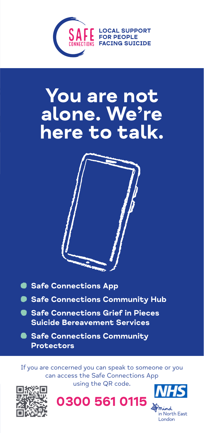

# You are not alone. We're here to talk.



- **Safe Connections App**
- **Safe Connections Community Hub**
- **Safe Connections Grief in Pieces Suicide Bereavement Services**
- **Safe Connections Community Protectors**

If you are concerned you can speak to someone or you can access the Safe Connections App using the QR code.



**0300 561 0115**

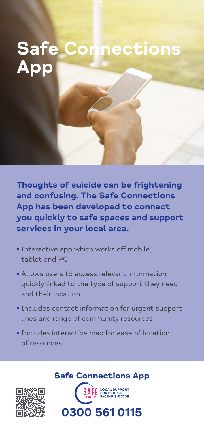# Safe Connections App

**Thoughts of suicide can be frightening and confusing. The Safe Connections App has been developed to connect you quickly to safe spaces and support services in your local area.**

- Interactive app which works off mobile, tablet and PC
- Allows users to access relevant information quickly linked to the type of support they need and their location
- Includes contact information for urgent support lines and range of community resources
- Includes interactive map for ease of location of resources



## **Safe Connections App**

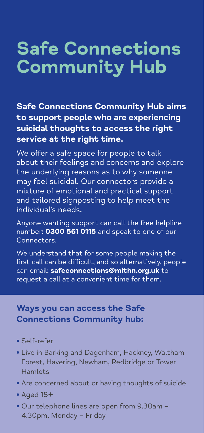# Safe Connections Community Hub

**Safe Connections Community Hub aims to support people who are experiencing suicidal thoughts to access the right service at the right time.** 

We offer a safe space for people to talk about their feelings and concerns and explore the underlying reasons as to why someone may feel suicidal. Our connectors provide a mixture of emotional and practical support and tailored signposting to help meet the individual's needs.

Anyone wanting support can call the free helpline number: **0300 561 0115** and speak to one of our Connectors.

We understand that for some people making the first call can be difficult, and so alternatively, people can email: **safeconnections@mithn.org.uk** to request a call at a convenient time for them.

### **Ways you can access the Safe Connections Community hub:**

- Self-refer
- Live in Barking and Dagenham, Hackney, Waltham Forest, Havering, Newham, Redbridge or Tower Hamlets
- Are concerned about or having thoughts of suicide
- Aged 18+
- Our telephone lines are open from 9.30am 4.30pm, Monday – Friday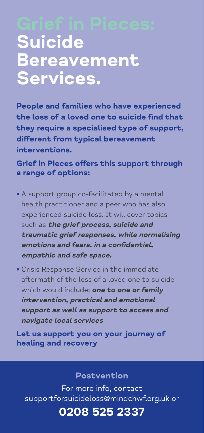## Grief in Pieces: **Suicide** Bereavement Services.

**People and families who have experienced the loss of a loved one to suicide find that they require a specialised type of support, different from typical bereavement interventions.**

**Grief in Pieces offers this support through a range of options:**

- A support group co-facilitated by a mental health practitioner and a peer who has also experienced suicide loss. It will cover topics such as **the grief process, suicide and traumatic grief responses, while normalising emotions and fears, in a confidential, empathic and safe space.**
- Crisis Response Service in the immediate aftermath of the loss of a loved one to suicide which would include: **one to one or family intervention, practical and emotional support as well as support to access and navigate local services**

**Let us support you on your journey of healing and recovery**

**Postvention**

For more info, contact supportforsuicideloss@mindchwf.org.uk or

## **0208 525 2337**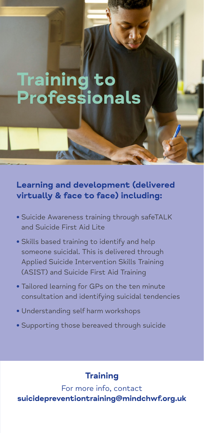# Training to Professionals

### **Learning and development (delivered virtually & face to face) including:**

- Suicide Awareness training through safeTALK and Suicide First Aid Lite
- Skills based training to identify and help someone suicidal. This is delivered through Applied Suicide Intervention Skills Training (ASIST) and Suicide First Aid Training
- Tailored learning for GPs on the ten minute consultation and identifying suicidal tendencies
- Understanding self harm workshops
- Supporting those bereaved through suicide

### **Training**

For more info, contact **suicidepreventiontraining@mindchwf.org.uk**